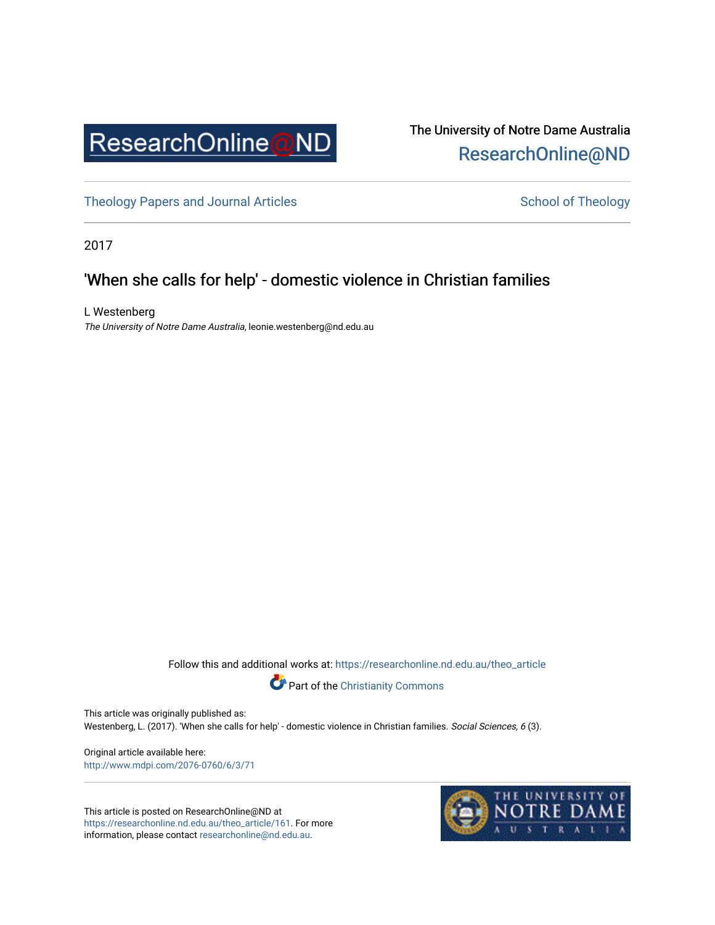

# The University of Notre Dame Australia [ResearchOnline@ND](https://researchonline.nd.edu.au/)

[Theology Papers and Journal Articles](https://researchonline.nd.edu.au/theo_article) and [School of Theology](https://researchonline.nd.edu.au/theo) School of Theology

2017

# 'When she calls for help' - domestic violence in Christian families

L Westenberg The University of Notre Dame Australia, leonie.westenberg@nd.edu.au

Follow this and additional works at: [https://researchonline.nd.edu.au/theo\\_article](https://researchonline.nd.edu.au/theo_article?utm_source=researchonline.nd.edu.au%2Ftheo_article%2F161&utm_medium=PDF&utm_campaign=PDFCoverPages) 



This article was originally published as:

Westenberg, L. (2017). 'When she calls for help' - domestic violence in Christian families. Social Sciences, 6 (3).

Original article available here: <http://www.mdpi.com/2076-0760/6/3/71>

This article is posted on ResearchOnline@ND at [https://researchonline.nd.edu.au/theo\\_article/161](https://researchonline.nd.edu.au/theo_article/161). For more information, please contact [researchonline@nd.edu.au.](mailto:researchonline@nd.edu.au)

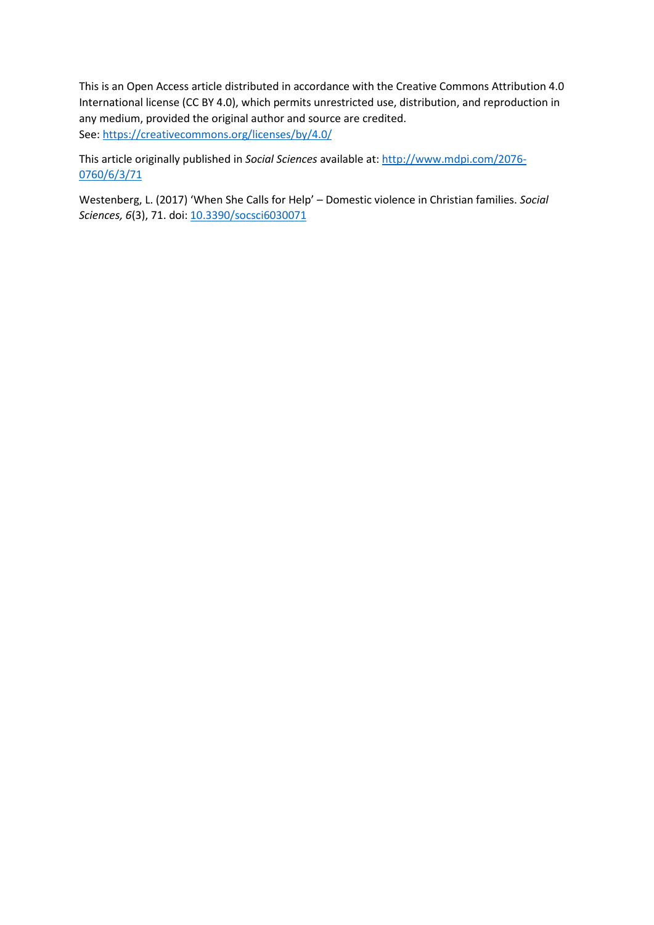This is an Open Access article distributed in accordance with the Creative Commons Attribution 4.0 International license (CC BY 4.0), which permits unrestricted use, distribution, and reproduction in any medium, provided the original author and source are credited. See[: https://creativecommons.org/licenses/by/4.0/](https://creativecommons.org/licenses/by/4.0/) 

This article originally published in *Social Sciences* available at: [http://www.mdpi.com/2076-](http://www.mdpi.com/2076-0760/6/3/71) [0760/6/3/71](http://www.mdpi.com/2076-0760/6/3/71) 

Westenberg, L. (2017) 'When She Calls for Help' – Domestic violence in Christian families. *Social Sciences, 6*(3), 71. doi: [10.3390/socsci6030071](http://dx.doi.org/10.3390/socsci6030071)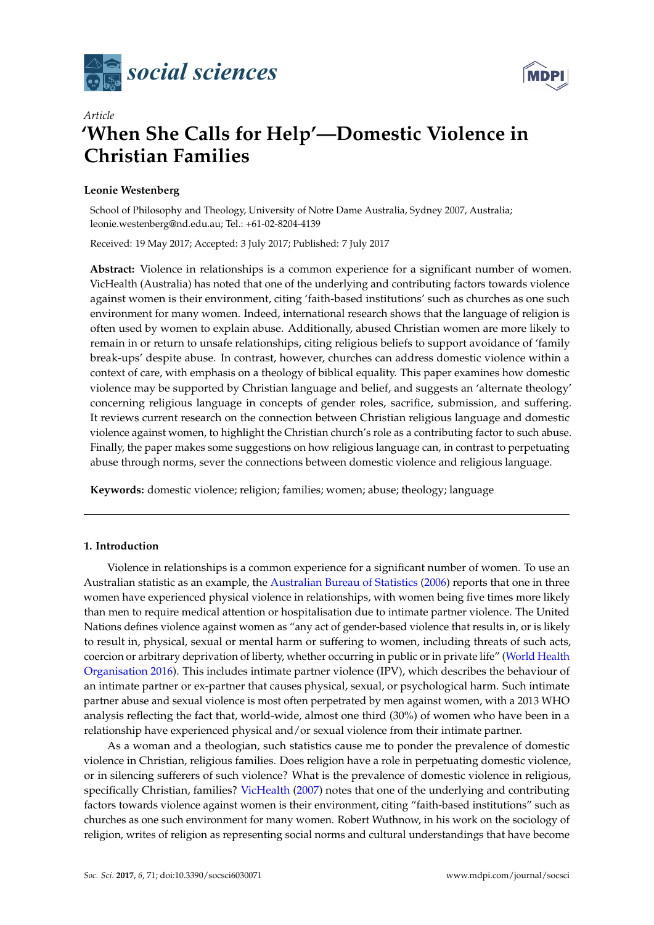



# *Article* **'When She Calls for Help'—Domestic Violence in Christian Families**

# **Leonie Westenberg**

School of Philosophy and Theology, University of Notre Dame Australia, Sydney 2007, Australia; leonie.westenberg@nd.edu.au; Tel.: +61-02-8204-4139

Received: 19 May 2017; Accepted: 3 July 2017; Published: 7 July 2017

**Abstract:** Violence in relationships is a common experience for a significant number of women. VicHealth (Australia) has noted that one of the underlying and contributing factors towards violence against women is their environment, citing 'faith-based institutions' such as churches as one such environment for many women. Indeed, international research shows that the language of religion is often used by women to explain abuse. Additionally, abused Christian women are more likely to remain in or return to unsafe relationships, citing religious beliefs to support avoidance of 'family break-ups' despite abuse. In contrast, however, churches can address domestic violence within a context of care, with emphasis on a theology of biblical equality. This paper examines how domestic violence may be supported by Christian language and belief, and suggests an 'alternate theology' concerning religious language in concepts of gender roles, sacrifice, submission, and suffering. It reviews current research on the connection between Christian religious language and domestic violence against women, to highlight the Christian church's role as a contributing factor to such abuse. Finally, the paper makes some suggestions on how religious language can, in contrast to perpetuating abuse through norms, sever the connections between domestic violence and religious language.

**Keywords:** domestic violence; religion; families; women; abuse; theology; language

### **1. Introduction**

Violence in relationships is a common experience for a significant number of women. To use an Australian statistic as an example, the [Australian Bureau of Statistics](#page-10-0) [\(2006\)](#page-10-0) reports that one in three women have experienced physical violence in relationships, with women being five times more likely than men to require medical attention or hospitalisation due to intimate partner violence. The United Nations defines violence against women as "any act of gender-based violence that results in, or is likely to result in, physical, sexual or mental harm or suffering to women, including threats of such acts, coercion or arbitrary deprivation of liberty, whether occurring in public or in private life" [\(World Health](#page-11-0) [Organisation 2016\)](#page-11-0). This includes intimate partner violence (IPV), which describes the behaviour of an intimate partner or ex-partner that causes physical, sexual, or psychological harm. Such intimate partner abuse and sexual violence is most often perpetrated by men against women, with a 2013 WHO analysis reflecting the fact that, world-wide, almost one third (30%) of women who have been in a relationship have experienced physical and/or sexual violence from their intimate partner.

As a woman and a theologian, such statistics cause me to ponder the prevalence of domestic violence in Christian, religious families. Does religion have a role in perpetuating domestic violence, or in silencing sufferers of such violence? What is the prevalence of domestic violence in religious, specifically Christian, families? [VicHealth](#page-11-1) [\(2007\)](#page-11-1) notes that one of the underlying and contributing factors towards violence against women is their environment, citing "faith-based institutions" such as churches as one such environment for many women. Robert Wuthnow, in his work on the sociology of religion, writes of religion as representing social norms and cultural understandings that have become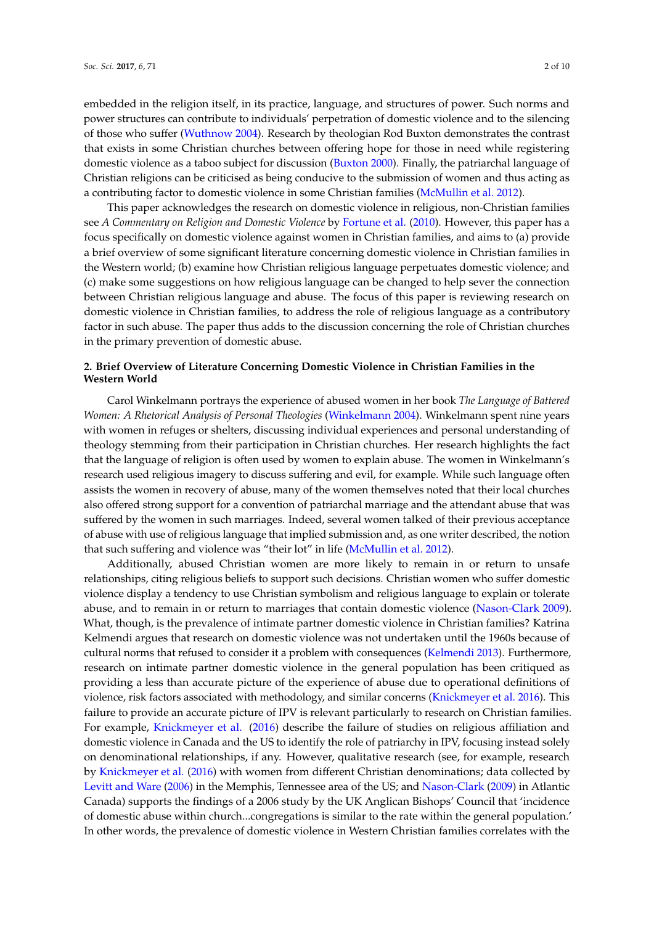embedded in the religion itself, in its practice, language, and structures of power. Such norms and power structures can contribute to individuals' perpetration of domestic violence and to the silencing of those who suffer [\(Wuthnow](#page-11-2) [2004\)](#page-11-2). Research by theologian Rod Buxton demonstrates the contrast that exists in some Christian churches between offering hope for those in need while registering domestic violence as a taboo subject for discussion [\(Buxton](#page-10-1) [2000\)](#page-10-1). Finally, the patriarchal language of Christian religions can be criticised as being conducive to the submission of women and thus acting as a contributing factor to domestic violence in some Christian families [\(McMullin et al.](#page-10-2) [2012\)](#page-10-2).

This paper acknowledges the research on domestic violence in religious, non-Christian families see *A Commentary on Religion and Domestic Violence* by [Fortune et al.](#page-10-3) [\(2010\)](#page-10-3). However, this paper has a focus specifically on domestic violence against women in Christian families, and aims to (a) provide a brief overview of some significant literature concerning domestic violence in Christian families in the Western world; (b) examine how Christian religious language perpetuates domestic violence; and (c) make some suggestions on how religious language can be changed to help sever the connection between Christian religious language and abuse. The focus of this paper is reviewing research on domestic violence in Christian families, to address the role of religious language as a contributory factor in such abuse. The paper thus adds to the discussion concerning the role of Christian churches in the primary prevention of domestic abuse.

# **2. Brief Overview of Literature Concerning Domestic Violence in Christian Families in the Western World**

Carol Winkelmann portrays the experience of abused women in her book *The Language of Battered Women: A Rhetorical Analysis of Personal Theologies* [\(Winkelmann](#page-11-3) [2004\)](#page-11-3). Winkelmann spent nine years with women in refuges or shelters, discussing individual experiences and personal understanding of theology stemming from their participation in Christian churches. Her research highlights the fact that the language of religion is often used by women to explain abuse. The women in Winkelmann's research used religious imagery to discuss suffering and evil, for example. While such language often assists the women in recovery of abuse, many of the women themselves noted that their local churches also offered strong support for a convention of patriarchal marriage and the attendant abuse that was suffered by the women in such marriages. Indeed, several women talked of their previous acceptance of abuse with use of religious language that implied submission and, as one writer described, the notion that such suffering and violence was "their lot" in life [\(McMullin et al.](#page-10-2) [2012\)](#page-10-2).

Additionally, abused Christian women are more likely to remain in or return to unsafe relationships, citing religious beliefs to support such decisions. Christian women who suffer domestic violence display a tendency to use Christian symbolism and religious language to explain or tolerate abuse, and to remain in or return to marriages that contain domestic violence [\(Nason-Clark](#page-10-4) [2009\)](#page-10-4). What, though, is the prevalence of intimate partner domestic violence in Christian families? Katrina Kelmendi argues that research on domestic violence was not undertaken until the 1960s because of cultural norms that refused to consider it a problem with consequences [\(Kelmendi](#page-10-5) [2013\)](#page-10-5). Furthermore, research on intimate partner domestic violence in the general population has been critiqued as providing a less than accurate picture of the experience of abuse due to operational definitions of violence, risk factors associated with methodology, and similar concerns [\(Knickmeyer et al.](#page-10-6) [2016\)](#page-10-6). This failure to provide an accurate picture of IPV is relevant particularly to research on Christian families. For example, [Knickmeyer et al.](#page-10-6) [\(2016\)](#page-10-6) describe the failure of studies on religious affiliation and domestic violence in Canada and the US to identify the role of patriarchy in IPV, focusing instead solely on denominational relationships, if any. However, qualitative research (see, for example, research by [Knickmeyer et al.](#page-10-6) [\(2016\)](#page-10-6) with women from different Christian denominations; data collected by [Levitt and Ware](#page-10-7) [\(2006\)](#page-10-7) in the Memphis, Tennessee area of the US; and [Nason-Clark](#page-10-4) [\(2009\)](#page-10-4) in Atlantic Canada) supports the findings of a 2006 study by the UK Anglican Bishops' Council that 'incidence of domestic abuse within church...congregations is similar to the rate within the general population.' In other words, the prevalence of domestic violence in Western Christian families correlates with the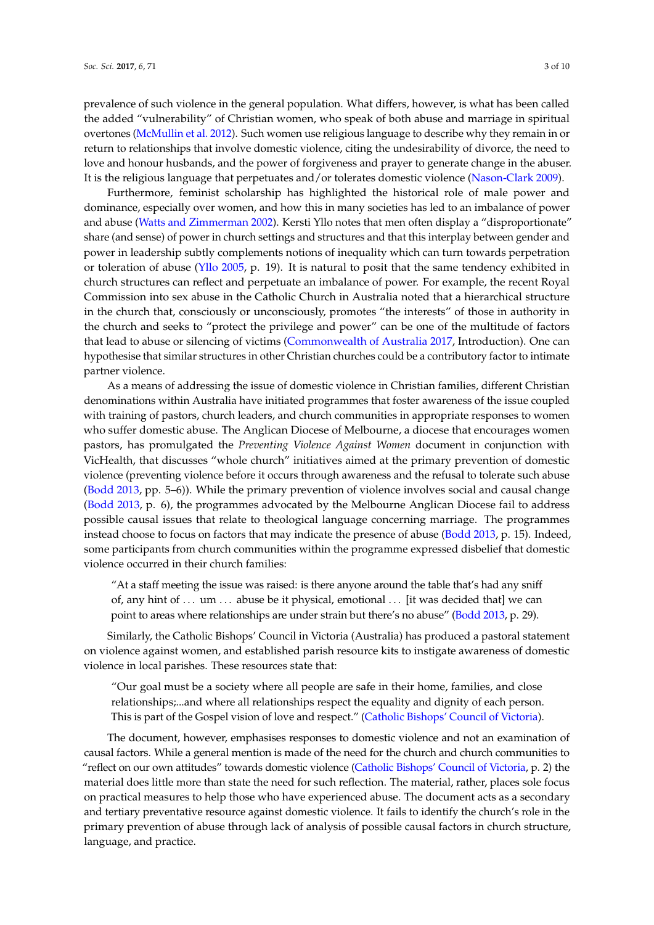prevalence of such violence in the general population. What differs, however, is what has been called the added "vulnerability" of Christian women, who speak of both abuse and marriage in spiritual overtones [\(McMullin et al.](#page-10-2) [2012\)](#page-10-2). Such women use religious language to describe why they remain in or return to relationships that involve domestic violence, citing the undesirability of divorce, the need to love and honour husbands, and the power of forgiveness and prayer to generate change in the abuser. It is the religious language that perpetuates and/or tolerates domestic violence [\(Nason-Clark](#page-10-4) [2009\)](#page-10-4).

Furthermore, feminist scholarship has highlighted the historical role of male power and dominance, especially over women, and how this in many societies has led to an imbalance of power and abuse [\(Watts and Zimmerman](#page-11-4) [2002\)](#page-11-4). Kersti Yllo notes that men often display a "disproportionate" share (and sense) of power in church settings and structures and that this interplay between gender and power in leadership subtly complements notions of inequality which can turn towards perpetration or toleration of abuse [\(Yllo](#page-11-5) [2005,](#page-11-5) p. 19). It is natural to posit that the same tendency exhibited in church structures can reflect and perpetuate an imbalance of power. For example, the recent Royal Commission into sex abuse in the Catholic Church in Australia noted that a hierarchical structure in the church that, consciously or unconsciously, promotes "the interests" of those in authority in the church and seeks to "protect the privilege and power" can be one of the multitude of factors that lead to abuse or silencing of victims [\(Commonwealth of Australia](#page-10-8) [2017,](#page-10-8) Introduction). One can hypothesise that similar structures in other Christian churches could be a contributory factor to intimate partner violence.

As a means of addressing the issue of domestic violence in Christian families, different Christian denominations within Australia have initiated programmes that foster awareness of the issue coupled with training of pastors, church leaders, and church communities in appropriate responses to women who suffer domestic abuse. The Anglican Diocese of Melbourne, a diocese that encourages women pastors, has promulgated the *Preventing Violence Against Women* document in conjunction with VicHealth, that discusses "whole church" initiatives aimed at the primary prevention of domestic violence (preventing violence before it occurs through awareness and the refusal to tolerate such abuse [\(Bodd](#page-10-9) [2013,](#page-10-9) pp. 5–6)). While the primary prevention of violence involves social and causal change [\(Bodd](#page-10-9) [2013,](#page-10-9) p. 6), the programmes advocated by the Melbourne Anglican Diocese fail to address possible causal issues that relate to theological language concerning marriage. The programmes instead choose to focus on factors that may indicate the presence of abuse [\(Bodd](#page-10-9) [2013,](#page-10-9) p. 15). Indeed, some participants from church communities within the programme expressed disbelief that domestic violence occurred in their church families:

"At a staff meeting the issue was raised: is there anyone around the table that's had any sniff of, any hint of  $\dots$  um  $\dots$  abuse be it physical, emotional  $\dots$  [it was decided that] we can point to areas where relationships are under strain but there's no abuse" [\(Bodd](#page-10-9) [2013,](#page-10-9) p. 29).

Similarly, the Catholic Bishops' Council in Victoria (Australia) has produced a pastoral statement on violence against women, and established parish resource kits to instigate awareness of domestic violence in local parishes. These resources state that:

"Our goal must be a society where all people are safe in their home, families, and close relationships;...and where all relationships respect the equality and dignity of each person. This is part of the Gospel vision of love and respect." [\(Catholic Bishops' Council of Victoria\)](#page-10-10).

The document, however, emphasises responses to domestic violence and not an examination of causal factors. While a general mention is made of the need for the church and church communities to "reflect on our own attitudes" towards domestic violence [\(Catholic Bishops' Council of Victoria,](#page-10-10) p. 2) the material does little more than state the need for such reflection. The material, rather, places sole focus on practical measures to help those who have experienced abuse. The document acts as a secondary and tertiary preventative resource against domestic violence. It fails to identify the church's role in the primary prevention of abuse through lack of analysis of possible causal factors in church structure, language, and practice.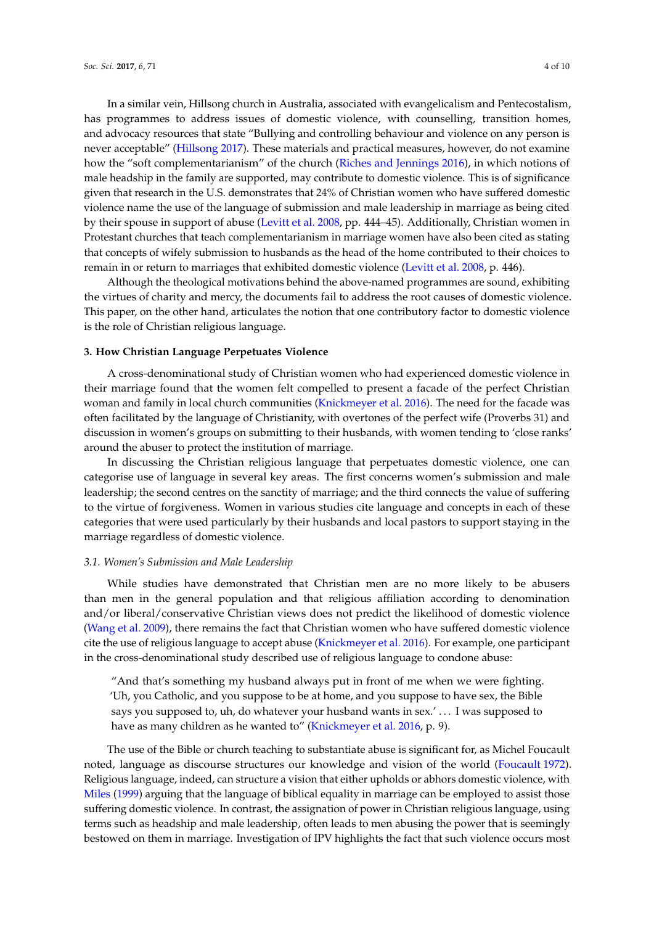In a similar vein, Hillsong church in Australia, associated with evangelicalism and Pentecostalism, has programmes to address issues of domestic violence, with counselling, transition homes, and advocacy resources that state "Bullying and controlling behaviour and violence on any person is never acceptable" [\(Hillsong](#page-10-11) [2017\)](#page-10-11). These materials and practical measures, however, do not examine how the "soft complementarianism" of the church [\(Riches and Jennings](#page-10-12) [2016\)](#page-10-12), in which notions of male headship in the family are supported, may contribute to domestic violence. This is of significance given that research in the U.S. demonstrates that 24% of Christian women who have suffered domestic violence name the use of the language of submission and male leadership in marriage as being cited by their spouse in support of abuse [\(Levitt et al.](#page-10-13) [2008,](#page-10-13) pp. 444–45). Additionally, Christian women in Protestant churches that teach complementarianism in marriage women have also been cited as stating that concepts of wifely submission to husbands as the head of the home contributed to their choices to remain in or return to marriages that exhibited domestic violence [\(Levitt et al.](#page-10-13) [2008,](#page-10-13) p. 446).

Although the theological motivations behind the above-named programmes are sound, exhibiting the virtues of charity and mercy, the documents fail to address the root causes of domestic violence. This paper, on the other hand, articulates the notion that one contributory factor to domestic violence is the role of Christian religious language.

#### **3. How Christian Language Perpetuates Violence**

A cross-denominational study of Christian women who had experienced domestic violence in their marriage found that the women felt compelled to present a facade of the perfect Christian woman and family in local church communities [\(Knickmeyer et al.](#page-10-6) [2016\)](#page-10-6). The need for the facade was often facilitated by the language of Christianity, with overtones of the perfect wife (Proverbs 31) and discussion in women's groups on submitting to their husbands, with women tending to 'close ranks' around the abuser to protect the institution of marriage.

In discussing the Christian religious language that perpetuates domestic violence, one can categorise use of language in several key areas. The first concerns women's submission and male leadership; the second centres on the sanctity of marriage; and the third connects the value of suffering to the virtue of forgiveness. Women in various studies cite language and concepts in each of these categories that were used particularly by their husbands and local pastors to support staying in the marriage regardless of domestic violence.

#### *3.1. Women's Submission and Male Leadership*

While studies have demonstrated that Christian men are no more likely to be abusers than men in the general population and that religious affiliation according to denomination and/or liberal/conservative Christian views does not predict the likelihood of domestic violence [\(Wang et al.](#page-11-6) [2009\)](#page-11-6), there remains the fact that Christian women who have suffered domestic violence cite the use of religious language to accept abuse [\(Knickmeyer et al.](#page-10-6) [2016\)](#page-10-6). For example, one participant in the cross-denominational study described use of religious language to condone abuse:

"And that's something my husband always put in front of me when we were fighting. 'Uh, you Catholic, and you suppose to be at home, and you suppose to have sex, the Bible says you supposed to, uh, do whatever your husband wants in sex.' . . . I was supposed to have as many children as he wanted to" [\(Knickmeyer et al.](#page-10-6) [2016,](#page-10-6) p. 9).

The use of the Bible or church teaching to substantiate abuse is significant for, as Michel Foucault noted, language as discourse structures our knowledge and vision of the world [\(Foucault](#page-10-14) [1972\)](#page-10-14). Religious language, indeed, can structure a vision that either upholds or abhors domestic violence, with [Miles](#page-10-15) [\(1999\)](#page-10-15) arguing that the language of biblical equality in marriage can be employed to assist those suffering domestic violence. In contrast, the assignation of power in Christian religious language, using terms such as headship and male leadership, often leads to men abusing the power that is seemingly bestowed on them in marriage. Investigation of IPV highlights the fact that such violence occurs most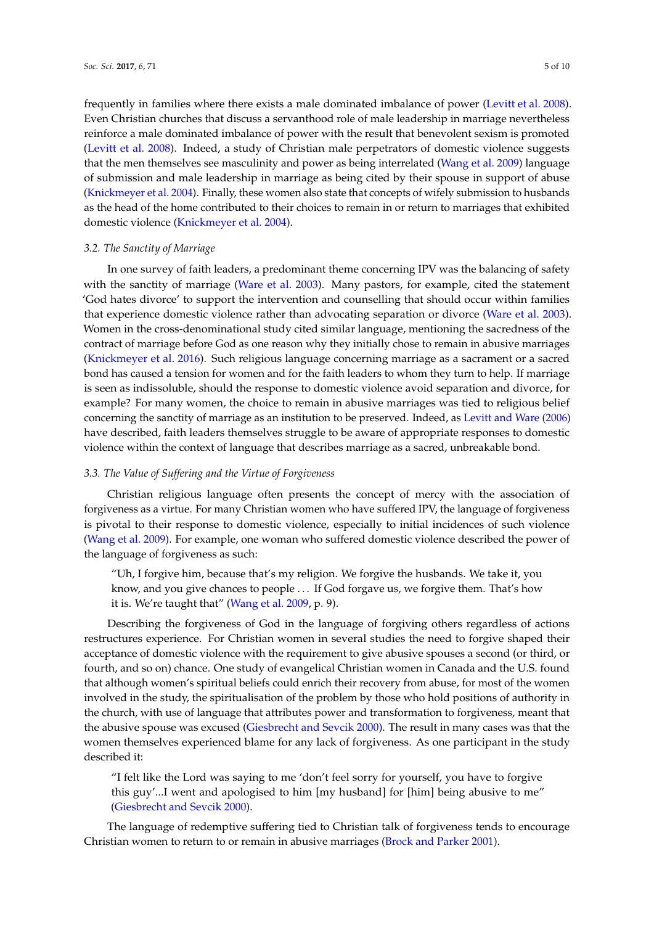frequently in families where there exists a male dominated imbalance of power [\(Levitt et al.](#page-10-13) [2008\)](#page-10-13). Even Christian churches that discuss a servanthood role of male leadership in marriage nevertheless reinforce a male dominated imbalance of power with the result that benevolent sexism is promoted [\(Levitt et al.](#page-10-13) [2008\)](#page-10-13). Indeed, a study of Christian male perpetrators of domestic violence suggests that the men themselves see masculinity and power as being interrelated [\(Wang et al.](#page-11-6) [2009\)](#page-11-6) language of submission and male leadership in marriage as being cited by their spouse in support of abuse [\(Knickmeyer et al.](#page-10-16) [2004\)](#page-10-16). Finally, these women also state that concepts of wifely submission to husbands as the head of the home contributed to their choices to remain in or return to marriages that exhibited domestic violence [\(Knickmeyer et al.](#page-10-16) [2004\)](#page-10-16).

#### *3.2. The Sanctity of Marriage*

In one survey of faith leaders, a predominant theme concerning IPV was the balancing of safety with the sanctity of marriage [\(Ware et al.](#page-11-7) [2003\)](#page-11-7). Many pastors, for example, cited the statement 'God hates divorce' to support the intervention and counselling that should occur within families that experience domestic violence rather than advocating separation or divorce [\(Ware et al.](#page-11-7) [2003\)](#page-11-7). Women in the cross-denominational study cited similar language, mentioning the sacredness of the contract of marriage before God as one reason why they initially chose to remain in abusive marriages [\(Knickmeyer et al.](#page-10-6) [2016\)](#page-10-6). Such religious language concerning marriage as a sacrament or a sacred bond has caused a tension for women and for the faith leaders to whom they turn to help. If marriage is seen as indissoluble, should the response to domestic violence avoid separation and divorce, for example? For many women, the choice to remain in abusive marriages was tied to religious belief concerning the sanctity of marriage as an institution to be preserved. Indeed, as [Levitt and Ware](#page-10-7) [\(2006\)](#page-10-7) have described, faith leaders themselves struggle to be aware of appropriate responses to domestic violence within the context of language that describes marriage as a sacred, unbreakable bond.

#### *3.3. The Value of Suffering and the Virtue of Forgiveness*

Christian religious language often presents the concept of mercy with the association of forgiveness as a virtue. For many Christian women who have suffered IPV, the language of forgiveness is pivotal to their response to domestic violence, especially to initial incidences of such violence [\(Wang et al.](#page-11-6) [2009\)](#page-11-6). For example, one woman who suffered domestic violence described the power of the language of forgiveness as such:

"Uh, I forgive him, because that's my religion. We forgive the husbands. We take it, you know, and you give chances to people . . . If God forgave us, we forgive them. That's how it is. We're taught that" [\(Wang et al.](#page-11-6) [2009,](#page-11-6) p. 9).

Describing the forgiveness of God in the language of forgiving others regardless of actions restructures experience. For Christian women in several studies the need to forgive shaped their acceptance of domestic violence with the requirement to give abusive spouses a second (or third, or fourth, and so on) chance. One study of evangelical Christian women in Canada and the U.S. found that although women's spiritual beliefs could enrich their recovery from abuse, for most of the women involved in the study, the spiritualisation of the problem by those who hold positions of authority in the church, with use of language that attributes power and transformation to forgiveness, meant that the abusive spouse was excused [\(Giesbrecht and Sevcik](#page-10-17) [2000\)](#page-10-17). The result in many cases was that the women themselves experienced blame for any lack of forgiveness. As one participant in the study described it:

"I felt like the Lord was saying to me 'don't feel sorry for yourself, you have to forgive this guy'...I went and apologised to him [my husband] for [him] being abusive to me" [\(Giesbrecht and Sevcik](#page-10-17) [2000\)](#page-10-17).

The language of redemptive suffering tied to Christian talk of forgiveness tends to encourage Christian women to return to or remain in abusive marriages [\(Brock and Parker](#page-10-18) [2001\)](#page-10-18).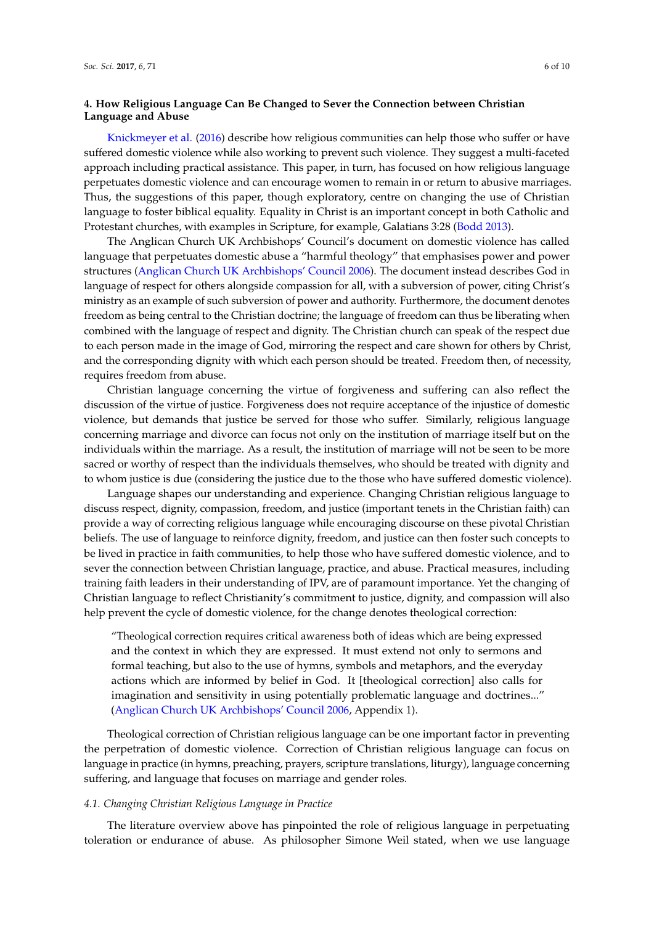# **4. How Religious Language Can Be Changed to Sever the Connection between Christian Language and Abuse**

[Knickmeyer et al.](#page-10-6) [\(2016\)](#page-10-6) describe how religious communities can help those who suffer or have suffered domestic violence while also working to prevent such violence. They suggest a multi-faceted approach including practical assistance. This paper, in turn, has focused on how religious language perpetuates domestic violence and can encourage women to remain in or return to abusive marriages. Thus, the suggestions of this paper, though exploratory, centre on changing the use of Christian language to foster biblical equality. Equality in Christ is an important concept in both Catholic and Protestant churches, with examples in Scripture, for example, Galatians 3:28 [\(Bodd](#page-10-9) [2013\)](#page-10-9).

The Anglican Church UK Archbishops' Council's document on domestic violence has called language that perpetuates domestic abuse a "harmful theology" that emphasises power and power structures [\(Anglican Church UK Archbishops' Council](#page-10-19) [2006\)](#page-10-19). The document instead describes God in language of respect for others alongside compassion for all, with a subversion of power, citing Christ's ministry as an example of such subversion of power and authority. Furthermore, the document denotes freedom as being central to the Christian doctrine; the language of freedom can thus be liberating when combined with the language of respect and dignity. The Christian church can speak of the respect due to each person made in the image of God, mirroring the respect and care shown for others by Christ, and the corresponding dignity with which each person should be treated. Freedom then, of necessity, requires freedom from abuse.

Christian language concerning the virtue of forgiveness and suffering can also reflect the discussion of the virtue of justice. Forgiveness does not require acceptance of the injustice of domestic violence, but demands that justice be served for those who suffer. Similarly, religious language concerning marriage and divorce can focus not only on the institution of marriage itself but on the individuals within the marriage. As a result, the institution of marriage will not be seen to be more sacred or worthy of respect than the individuals themselves, who should be treated with dignity and to whom justice is due (considering the justice due to the those who have suffered domestic violence).

Language shapes our understanding and experience. Changing Christian religious language to discuss respect, dignity, compassion, freedom, and justice (important tenets in the Christian faith) can provide a way of correcting religious language while encouraging discourse on these pivotal Christian beliefs. The use of language to reinforce dignity, freedom, and justice can then foster such concepts to be lived in practice in faith communities, to help those who have suffered domestic violence, and to sever the connection between Christian language, practice, and abuse. Practical measures, including training faith leaders in their understanding of IPV, are of paramount importance. Yet the changing of Christian language to reflect Christianity's commitment to justice, dignity, and compassion will also help prevent the cycle of domestic violence, for the change denotes theological correction:

"Theological correction requires critical awareness both of ideas which are being expressed and the context in which they are expressed. It must extend not only to sermons and formal teaching, but also to the use of hymns, symbols and metaphors, and the everyday actions which are informed by belief in God. It [theological correction] also calls for imagination and sensitivity in using potentially problematic language and doctrines..." [\(Anglican Church UK Archbishops' Council](#page-10-19) [2006,](#page-10-19) Appendix 1).

Theological correction of Christian religious language can be one important factor in preventing the perpetration of domestic violence. Correction of Christian religious language can focus on language in practice (in hymns, preaching, prayers, scripture translations, liturgy), language concerning suffering, and language that focuses on marriage and gender roles.

#### *4.1. Changing Christian Religious Language in Practice*

The literature overview above has pinpointed the role of religious language in perpetuating toleration or endurance of abuse. As philosopher Simone Weil stated, when we use language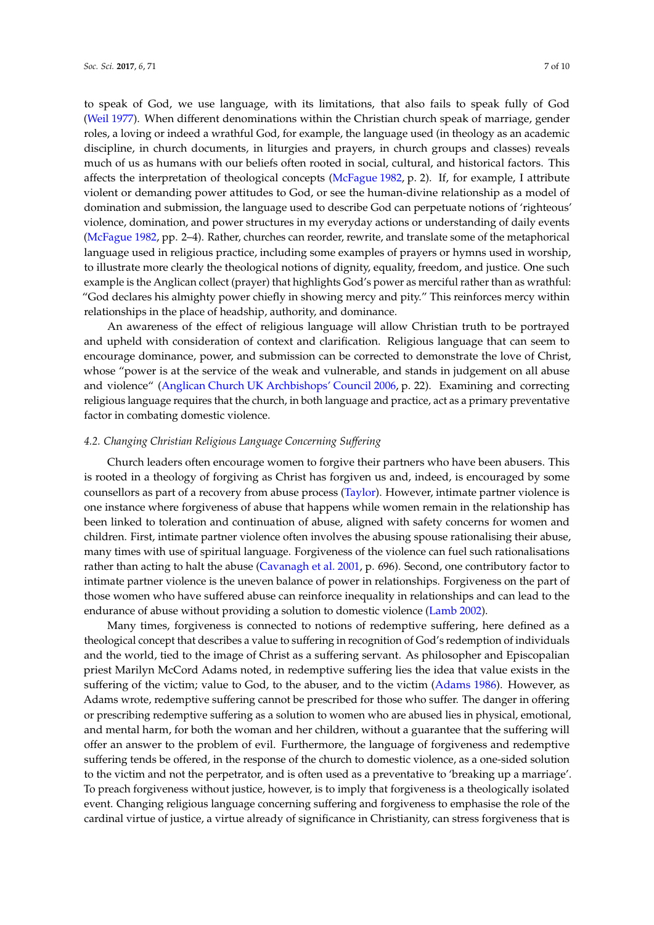to speak of God, we use language, with its limitations, that also fails to speak fully of God [\(Weil](#page-11-8) [1977\)](#page-11-8). When different denominations within the Christian church speak of marriage, gender roles, a loving or indeed a wrathful God, for example, the language used (in theology as an academic discipline, in church documents, in liturgies and prayers, in church groups and classes) reveals much of us as humans with our beliefs often rooted in social, cultural, and historical factors. This affects the interpretation of theological concepts [\(McFague](#page-10-20) [1982,](#page-10-20) p. 2). If, for example, I attribute violent or demanding power attitudes to God, or see the human-divine relationship as a model of domination and submission, the language used to describe God can perpetuate notions of 'righteous' violence, domination, and power structures in my everyday actions or understanding of daily events [\(McFague](#page-10-20) [1982,](#page-10-20) pp. 2–4). Rather, churches can reorder, rewrite, and translate some of the metaphorical language used in religious practice, including some examples of prayers or hymns used in worship, to illustrate more clearly the theological notions of dignity, equality, freedom, and justice. One such example is the Anglican collect (prayer) that highlights God's power as merciful rather than as wrathful: "God declares his almighty power chiefly in showing mercy and pity." This reinforces mercy within relationships in the place of headship, authority, and dominance.

An awareness of the effect of religious language will allow Christian truth to be portrayed and upheld with consideration of context and clarification. Religious language that can seem to encourage dominance, power, and submission can be corrected to demonstrate the love of Christ, whose "power is at the service of the weak and vulnerable, and stands in judgement on all abuse and violence" [\(Anglican Church UK Archbishops' Council](#page-10-19) [2006,](#page-10-19) p. 22). Examining and correcting religious language requires that the church, in both language and practice, act as a primary preventative factor in combating domestic violence.

#### *4.2. Changing Christian Religious Language Concerning Suffering*

Church leaders often encourage women to forgive their partners who have been abusers. This is rooted in a theology of forgiving as Christ has forgiven us and, indeed, is encouraged by some counsellors as part of a recovery from abuse process [\(Taylor\)](#page-11-9). However, intimate partner violence is one instance where forgiveness of abuse that happens while women remain in the relationship has been linked to toleration and continuation of abuse, aligned with safety concerns for women and children. First, intimate partner violence often involves the abusing spouse rationalising their abuse, many times with use of spiritual language. Forgiveness of the violence can fuel such rationalisations rather than acting to halt the abuse [\(Cavanagh et al.](#page-10-21) [2001,](#page-10-21) p. 696). Second, one contributory factor to intimate partner violence is the uneven balance of power in relationships. Forgiveness on the part of those women who have suffered abuse can reinforce inequality in relationships and can lead to the endurance of abuse without providing a solution to domestic violence [\(Lamb](#page-10-22) [2002\)](#page-10-22).

Many times, forgiveness is connected to notions of redemptive suffering, here defined as a theological concept that describes a value to suffering in recognition of God's redemption of individuals and the world, tied to the image of Christ as a suffering servant. As philosopher and Episcopalian priest Marilyn McCord Adams noted, in redemptive suffering lies the idea that value exists in the suffering of the victim; value to God, to the abuser, and to the victim [\(Adams](#page-10-23) [1986\)](#page-10-23). However, as Adams wrote, redemptive suffering cannot be prescribed for those who suffer. The danger in offering or prescribing redemptive suffering as a solution to women who are abused lies in physical, emotional, and mental harm, for both the woman and her children, without a guarantee that the suffering will offer an answer to the problem of evil. Furthermore, the language of forgiveness and redemptive suffering tends be offered, in the response of the church to domestic violence, as a one-sided solution to the victim and not the perpetrator, and is often used as a preventative to 'breaking up a marriage'. To preach forgiveness without justice, however, is to imply that forgiveness is a theologically isolated event. Changing religious language concerning suffering and forgiveness to emphasise the role of the cardinal virtue of justice, a virtue already of significance in Christianity, can stress forgiveness that is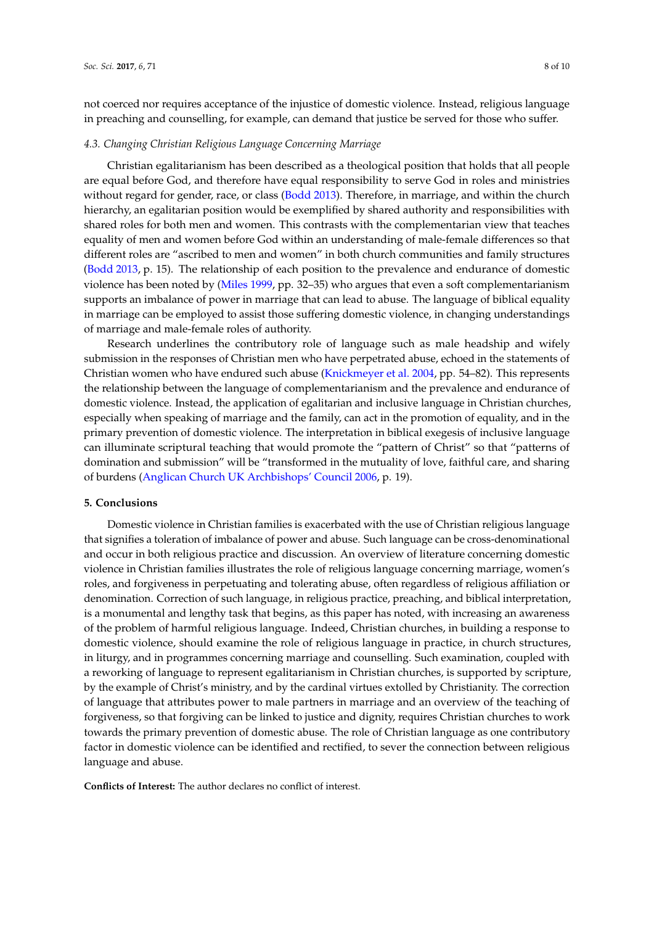not coerced nor requires acceptance of the injustice of domestic violence. Instead, religious language in preaching and counselling, for example, can demand that justice be served for those who suffer.

#### *4.3. Changing Christian Religious Language Concerning Marriage*

Christian egalitarianism has been described as a theological position that holds that all people are equal before God, and therefore have equal responsibility to serve God in roles and ministries without regard for gender, race, or class [\(Bodd](#page-10-9) [2013\)](#page-10-9). Therefore, in marriage, and within the church hierarchy, an egalitarian position would be exemplified by shared authority and responsibilities with shared roles for both men and women. This contrasts with the complementarian view that teaches equality of men and women before God within an understanding of male-female differences so that different roles are "ascribed to men and women" in both church communities and family structures [\(Bodd](#page-10-9) [2013,](#page-10-9) p. 15). The relationship of each position to the prevalence and endurance of domestic violence has been noted by [\(Miles](#page-10-15) [1999,](#page-10-15) pp. 32–35) who argues that even a soft complementarianism supports an imbalance of power in marriage that can lead to abuse. The language of biblical equality in marriage can be employed to assist those suffering domestic violence, in changing understandings of marriage and male-female roles of authority.

Research underlines the contributory role of language such as male headship and wifely submission in the responses of Christian men who have perpetrated abuse, echoed in the statements of Christian women who have endured such abuse [\(Knickmeyer et al.](#page-10-16) [2004,](#page-10-16) pp. 54–82). This represents the relationship between the language of complementarianism and the prevalence and endurance of domestic violence. Instead, the application of egalitarian and inclusive language in Christian churches, especially when speaking of marriage and the family, can act in the promotion of equality, and in the primary prevention of domestic violence. The interpretation in biblical exegesis of inclusive language can illuminate scriptural teaching that would promote the "pattern of Christ" so that "patterns of domination and submission" will be "transformed in the mutuality of love, faithful care, and sharing of burdens [\(Anglican Church UK Archbishops' Council](#page-10-19) [2006,](#page-10-19) p. 19).

#### **5. Conclusions**

Domestic violence in Christian families is exacerbated with the use of Christian religious language that signifies a toleration of imbalance of power and abuse. Such language can be cross-denominational and occur in both religious practice and discussion. An overview of literature concerning domestic violence in Christian families illustrates the role of religious language concerning marriage, women's roles, and forgiveness in perpetuating and tolerating abuse, often regardless of religious affiliation or denomination. Correction of such language, in religious practice, preaching, and biblical interpretation, is a monumental and lengthy task that begins, as this paper has noted, with increasing an awareness of the problem of harmful religious language. Indeed, Christian churches, in building a response to domestic violence, should examine the role of religious language in practice, in church structures, in liturgy, and in programmes concerning marriage and counselling. Such examination, coupled with a reworking of language to represent egalitarianism in Christian churches, is supported by scripture, by the example of Christ's ministry, and by the cardinal virtues extolled by Christianity. The correction of language that attributes power to male partners in marriage and an overview of the teaching of forgiveness, so that forgiving can be linked to justice and dignity, requires Christian churches to work towards the primary prevention of domestic abuse. The role of Christian language as one contributory factor in domestic violence can be identified and rectified, to sever the connection between religious language and abuse.

**Conflicts of Interest:** The author declares no conflict of interest.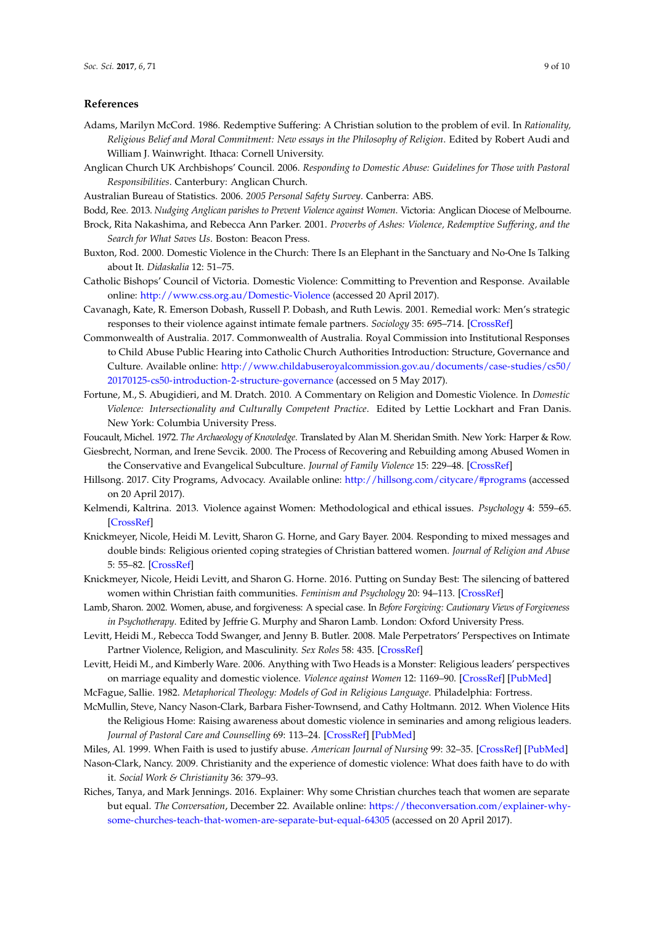#### **References**

- <span id="page-10-23"></span>Adams, Marilyn McCord. 1986. Redemptive Suffering: A Christian solution to the problem of evil. In *Rationality, Religious Belief and Moral Commitment: New essays in the Philosophy of Religion*. Edited by Robert Audi and William J. Wainwright. Ithaca: Cornell University.
- <span id="page-10-19"></span>Anglican Church UK Archbishops' Council. 2006. *Responding to Domestic Abuse: Guidelines for Those with Pastoral Responsibilities*. Canterbury: Anglican Church.
- <span id="page-10-0"></span>Australian Bureau of Statistics. 2006. *2005 Personal Safety Survey*. Canberra: ABS.
- <span id="page-10-18"></span><span id="page-10-9"></span>Bodd, Ree. 2013. *Nudging Anglican parishes to Prevent Violence against Women*. Victoria: Anglican Diocese of Melbourne.
- Brock, Rita Nakashima, and Rebecca Ann Parker. 2001. *Proverbs of Ashes: Violence, Redemptive Suffering, and the Search for What Saves Us*. Boston: Beacon Press.
- <span id="page-10-1"></span>Buxton, Rod. 2000. Domestic Violence in the Church: There Is an Elephant in the Sanctuary and No-One Is Talking about It. *Didaskalia* 12: 51–75.
- <span id="page-10-10"></span>Catholic Bishops' Council of Victoria. Domestic Violence: Committing to Prevention and Response. Available online: <http://www.css.org.au/Domestic-Violence> (accessed 20 April 2017).
- <span id="page-10-21"></span>Cavanagh, Kate, R. Emerson Dobash, Russell P. Dobash, and Ruth Lewis. 2001. Remedial work: Men's strategic responses to their violence against intimate female partners. *Sociology* 35: 695–714. [\[CrossRef\]](http://dx.doi.org/10.1177/S0038038501000359)
- <span id="page-10-8"></span>Commonwealth of Australia. 2017. Commonwealth of Australia. Royal Commission into Institutional Responses to Child Abuse Public Hearing into Catholic Church Authorities Introduction: Structure, Governance and Culture. Available online: [http://www.childabuseroyalcommission.gov.au/documents/case-studies/cs50/](http://www.childabuseroyalcommission.gov.au/documents/case-studies/cs50/20170125-cs50-introduction-2-structure-governance) [20170125-cs50-introduction-2-structure-governance](http://www.childabuseroyalcommission.gov.au/documents/case-studies/cs50/20170125-cs50-introduction-2-structure-governance) (accessed on 5 May 2017).
- <span id="page-10-3"></span>Fortune, M., S. Abugidieri, and M. Dratch. 2010. A Commentary on Religion and Domestic Violence. In *Domestic Violence: Intersectionality and Culturally Competent Practice*. Edited by Lettie Lockhart and Fran Danis. New York: Columbia University Press.
- <span id="page-10-14"></span>Foucault, Michel. 1972. *The Archaeology of Knowledge*. Translated by Alan M. Sheridan Smith. New York: Harper & Row.
- <span id="page-10-17"></span>Giesbrecht, Norman, and Irene Sevcik. 2000. The Process of Recovering and Rebuilding among Abused Women in the Conservative and Evangelical Subculture. *Journal of Family Violence* 15: 229–48. [\[CrossRef\]](http://dx.doi.org/10.1023/A:1007549401830)
- <span id="page-10-11"></span>Hillsong. 2017. City Programs, Advocacy. Available online: <http://hillsong.com/citycare/#programs> (accessed on 20 April 2017).
- <span id="page-10-5"></span>Kelmendi, Kaltrina. 2013. Violence against Women: Methodological and ethical issues. *Psychology* 4: 559–65. [\[CrossRef\]](http://dx.doi.org/10.4236/psych.2013.47080)
- <span id="page-10-16"></span>Knickmeyer, Nicole, Heidi M. Levitt, Sharon G. Horne, and Gary Bayer. 2004. Responding to mixed messages and double binds: Religious oriented coping strategies of Christian battered women. *Journal of Religion and Abuse* 5: 55–82. [\[CrossRef\]](http://dx.doi.org/10.1300/J154v05n02_03)
- <span id="page-10-6"></span>Knickmeyer, Nicole, Heidi Levitt, and Sharon G. Horne. 2016. Putting on Sunday Best: The silencing of battered women within Christian faith communities. *Feminism and Psychology* 20: 94–113. [\[CrossRef\]](http://dx.doi.org/10.1177/0959353509347470)
- <span id="page-10-22"></span>Lamb, Sharon. 2002. Women, abuse, and forgiveness: A special case. In *Before Forgiving: Cautionary Views of Forgiveness in Psychotherapy*. Edited by Jeffrie G. Murphy and Sharon Lamb. London: Oxford University Press.
- <span id="page-10-13"></span>Levitt, Heidi M., Rebecca Todd Swanger, and Jenny B. Butler. 2008. Male Perpetrators' Perspectives on Intimate Partner Violence, Religion, and Masculinity. *Sex Roles* 58: 435. [\[CrossRef\]](http://dx.doi.org/10.1007/s11199-007-9349-3)
- <span id="page-10-7"></span>Levitt, Heidi M., and Kimberly Ware. 2006. Anything with Two Heads is a Monster: Religious leaders' perspectives on marriage equality and domestic violence. *Violence against Women* 12: 1169–90. [\[CrossRef\]](http://dx.doi.org/10.1177/1077801206293546) [\[PubMed\]](http://www.ncbi.nlm.nih.gov/pubmed/17090692)
- <span id="page-10-20"></span><span id="page-10-2"></span>McFague, Sallie. 1982. *Metaphorical Theology: Models of God in Religious Language*. Philadelphia: Fortress.
- McMullin, Steve, Nancy Nason-Clark, Barbara Fisher-Townsend, and Cathy Holtmann. 2012. When Violence Hits the Religious Home: Raising awareness about domestic violence in seminaries and among religious leaders. *Journal of Pastoral Care and Counselling* 69: 113–24. [\[CrossRef\]](http://dx.doi.org/10.1177/1542305015586776) [\[PubMed\]](http://www.ncbi.nlm.nih.gov/pubmed/26227940)
- <span id="page-10-15"></span>Miles, Al. 1999. When Faith is used to justify abuse. *American Journal of Nursing* 99: 32–35. [\[CrossRef\]](http://dx.doi.org/10.2307/3472268) [\[PubMed\]](http://www.ncbi.nlm.nih.gov/pubmed/10333797)
- <span id="page-10-4"></span>Nason-Clark, Nancy. 2009. Christianity and the experience of domestic violence: What does faith have to do with it. *Social Work & Christianity* 36: 379–93.
- <span id="page-10-12"></span>Riches, Tanya, and Mark Jennings. 2016. Explainer: Why some Christian churches teach that women are separate but equal. *The Conversation*, December 22. Available online: [https://theconversation.com/explainer-why](https://theconversation.com/explainer-why-some-churches-teach-that-women-are-separate-but-equal-64305)[some-churches-teach-that-women-are-separate-but-equal-64305](https://theconversation.com/explainer-why-some-churches-teach-that-women-are-separate-but-equal-64305) (accessed on 20 April 2017).